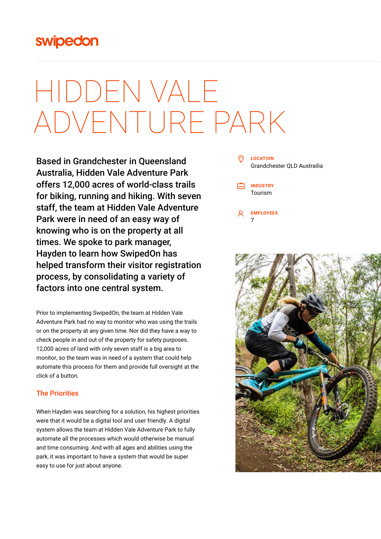## swipedon

# HIDDEN VALE ADVENTURE PARK

Based in Grandchester in Queensland Australia, Hidden Vale Adventure Park offers 12,000 acres of world-class trails for biking, running and hiking. With seven staff, the team at Hidden Vale Adventure Park were in need of an easy way of knowing who is on the property at all times. We spoke to park manager, Hayden to learn how SwipedOn has helped transform their visitor registration process, by consolidating a variety of factors into one central system.

Prior to implementing SwipedOn, the team at Hidden Vale Adventure Park had no way to monitor who was using the trails or on the property at any given time. Nor did they have a way to check people in and out of the property for safety purposes. 12,000 acres of land with only seven staff is a big area to monitor, so the team was in need of a system that could help automate this process for them and provide full oversight at the click of a button.

### The Priorities

When Hayden was searching for a solution, his highest priorities were that it would be a digital tool and user friendly. A digital system allows the team at Hidden Vale Adventure Park to fully automate all the processes which would otherwise be manual and time consuming. And with all ages and abilities using the park, it was important to have a system that would be super easy to use for just about anyone.

#### **LOCATION** Grandchester QLD Austrailia

**INDUSTRY** Tourism

**EMPLOYEES** 7